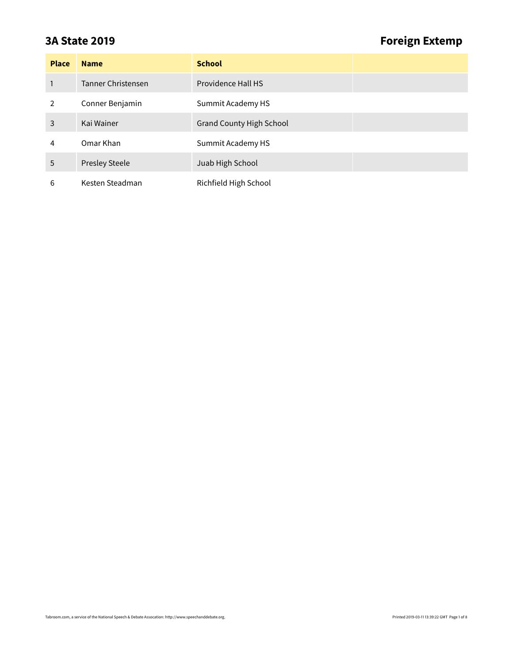## **3A State 2019 Foreign Extemp**

| <b>Place</b>   | <b>Name</b>           | <b>School</b>                   |  |
|----------------|-----------------------|---------------------------------|--|
|                | Tanner Christensen    | Providence Hall HS              |  |
| $\overline{2}$ | Conner Benjamin       | Summit Academy HS               |  |
| 3              | Kai Wainer            | <b>Grand County High School</b> |  |
| 4              | Omar Khan             | Summit Academy HS               |  |
| 5              | <b>Presley Steele</b> | Juab High School                |  |
| 6              | Kesten Steadman       | Richfield High School           |  |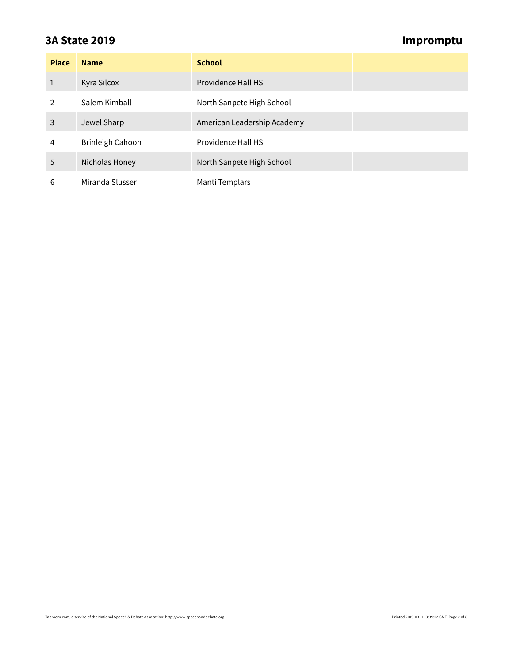### **3A State 2019 Impromptu**

| <b>Place</b> | <b>Name</b>      | <b>School</b>               |
|--------------|------------------|-----------------------------|
|              | Kyra Silcox      | Providence Hall HS          |
| 2            | Salem Kimball    | North Sanpete High School   |
| 3            | Jewel Sharp      | American Leadership Academy |
| 4            | Brinleigh Cahoon | Providence Hall HS          |
| 5            | Nicholas Honey   | North Sanpete High School   |
| 6            | Miranda Slusser  | Manti Templars              |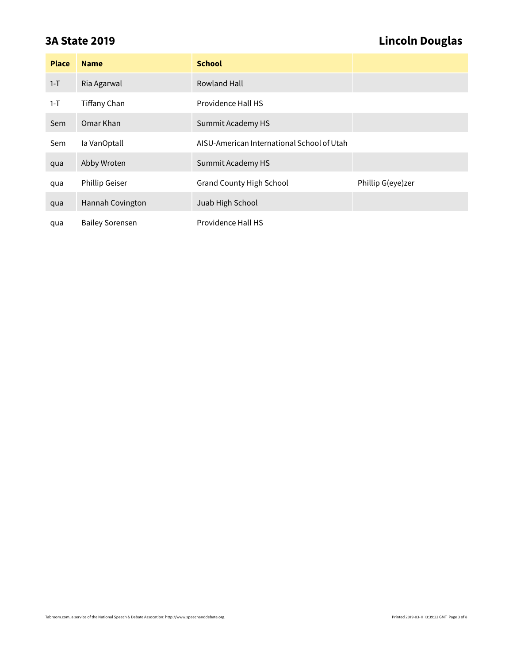# **3A State 2019 Lincoln Douglas**

| <b>Place</b> | <b>Name</b>            | <b>School</b>                              |                   |
|--------------|------------------------|--------------------------------------------|-------------------|
| $1-T$        | Ria Agarwal            | <b>Rowland Hall</b>                        |                   |
| $1-T$        | Tiffany Chan           | Providence Hall HS                         |                   |
| Sem          | Omar Khan              | Summit Academy HS                          |                   |
| Sem          | la VanOptall           | AISU-American International School of Utah |                   |
| qua          | Abby Wroten            | Summit Academy HS                          |                   |
| qua          | <b>Phillip Geiser</b>  | <b>Grand County High School</b>            | Phillip G(eye)zer |
| qua          | Hannah Covington       | Juab High School                           |                   |
| qua          | <b>Bailey Sorensen</b> | Providence Hall HS                         |                   |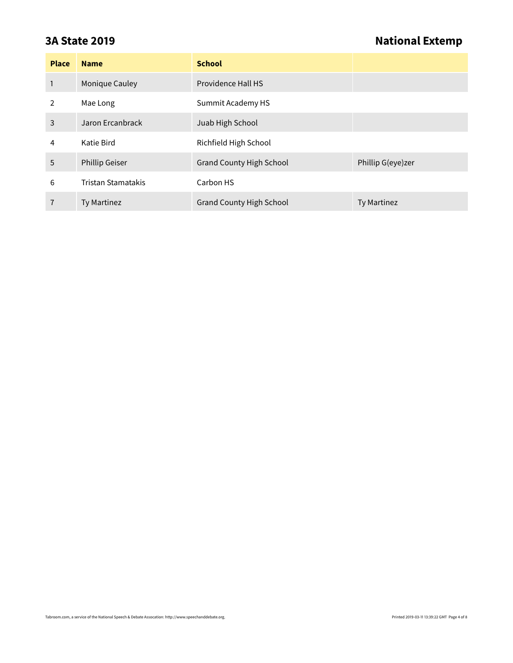## **3A State 2019 National Extemp**

| <b>Place</b> | <b>Name</b>           | <b>School</b>                   |                   |
|--------------|-----------------------|---------------------------------|-------------------|
| 1            | Monique Cauley        | Providence Hall HS              |                   |
| 2            | Mae Long              | Summit Academy HS               |                   |
| 3            | Jaron Ercanbrack      | Juab High School                |                   |
| 4            | Katie Bird            | Richfield High School           |                   |
| 5            | <b>Phillip Geiser</b> | <b>Grand County High School</b> | Phillip G(eye)zer |
| 6            | Tristan Stamatakis    | Carbon HS                       |                   |
|              | Ty Martinez           | <b>Grand County High School</b> | Ty Martinez       |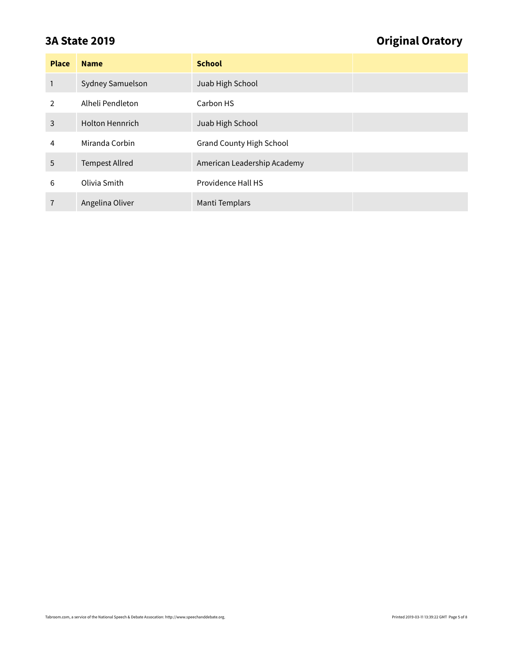# **3A State 2019 Original Oratory**

| <b>Place</b> | <b>Name</b>            | <b>School</b>                   |  |
|--------------|------------------------|---------------------------------|--|
| 1            | Sydney Samuelson       | Juab High School                |  |
| 2            | Alheli Pendleton       | Carbon HS                       |  |
| 3            | <b>Holton Hennrich</b> | Juab High School                |  |
| 4            | Miranda Corbin         | <b>Grand County High School</b> |  |
| 5            | <b>Tempest Allred</b>  | American Leadership Academy     |  |
| 6            | Olivia Smith           | Providence Hall HS              |  |
| 7            | Angelina Oliver        | Manti Templars                  |  |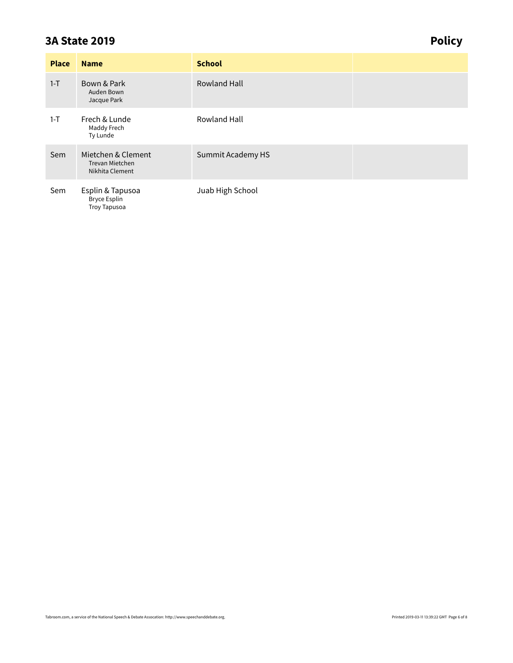### **3A State 2019 Policy**

| <b>Place</b> | <b>Name</b>                                                    | <b>School</b>       |  |
|--------------|----------------------------------------------------------------|---------------------|--|
| $1-T$        | Bown & Park<br>Auden Bown<br>Jacque Park                       | <b>Rowland Hall</b> |  |
| $1-T$        | Frech & Lunde<br>Maddy Frech<br>Ty Lunde                       | Rowland Hall        |  |
| Sem          | Mietchen & Clement<br>Trevan Mietchen<br>Nikhita Clement       | Summit Academy HS   |  |
| Sem          | Esplin & Tapusoa<br><b>Bryce Esplin</b><br><b>Troy Tapusoa</b> | Juab High School    |  |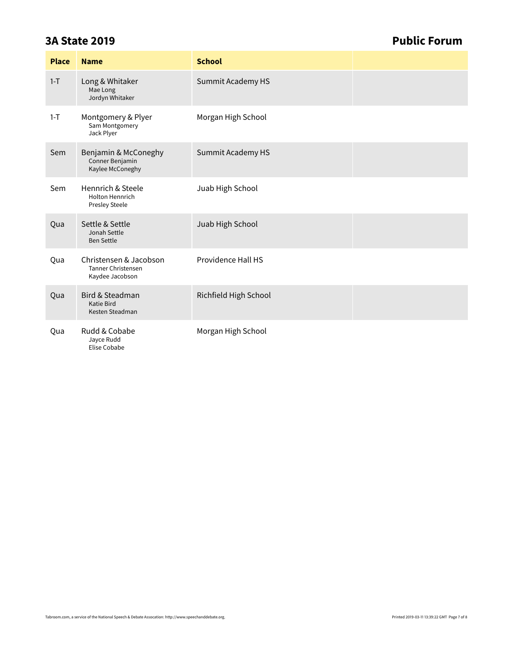### **3A State 2019 Public Forum**

| <b>Place</b> | <b>Name</b>                                                            | <b>School</b>         |  |
|--------------|------------------------------------------------------------------------|-----------------------|--|
| $1-T$        | Long & Whitaker<br>Mae Long<br>Jordyn Whitaker                         | Summit Academy HS     |  |
| $1-T$        | Montgomery & Plyer<br>Sam Montgomery<br>Jack Plyer                     | Morgan High School    |  |
| Sem          | Benjamin & McConeghy<br>Conner Benjamin<br>Kaylee McConeghy            | Summit Academy HS     |  |
| Sem          | Hennrich & Steele<br>Holton Hennrich<br><b>Presley Steele</b>          | Juab High School      |  |
| Qua          | Settle & Settle<br>Jonah Settle<br><b>Ben Settle</b>                   | Juab High School      |  |
| Qua          | Christensen & Jacobson<br><b>Tanner Christensen</b><br>Kaydee Jacobson | Providence Hall HS    |  |
| Qua          | Bird & Steadman<br><b>Katie Bird</b><br>Kesten Steadman                | Richfield High School |  |
| Qua          | Rudd & Cobabe<br>Jayce Rudd<br>Elise Cobabe                            | Morgan High School    |  |